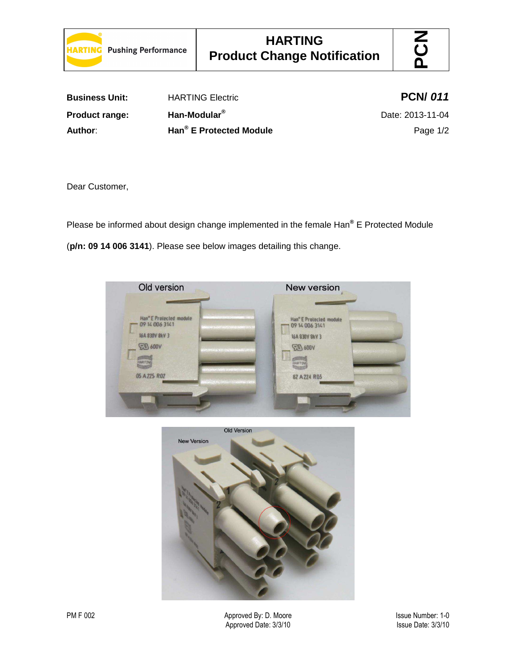



| <b>Business Unit:</b> | <b>HARTING Electric</b>             | <b>PCN/011</b>   |
|-----------------------|-------------------------------------|------------------|
| <b>Product range:</b> | Han-Modular <sup>®</sup>            | Date: 2013-11-04 |
| Author:               | Han <sup>®</sup> E Protected Module | Page $1/2$       |

Dear Customer,

Please be informed about design change implemented in the female Han**®** E Protected Module (**p/n: 09 14 006 3141**). Please see below images detailing this change.